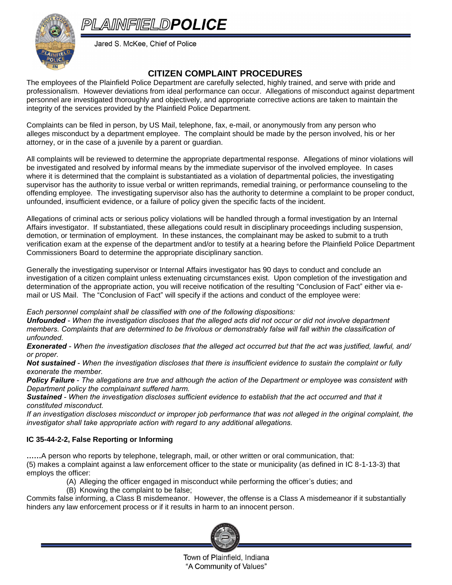## PLAINFIELDPOLICE



Jared S. McKee, Chief of Police

## **CITIZEN COMPLAINT PROCEDURES**

The employees of the Plainfield Police Department are carefully selected, highly trained, and serve with pride and professionalism. However deviations from ideal performance can occur. Allegations of misconduct against department personnel are investigated thoroughly and objectively, and appropriate corrective actions are taken to maintain the integrity of the services provided by the Plainfield Police Department.

Complaints can be filed in person, by US Mail, telephone, fax, e-mail, or anonymously from any person who alleges misconduct by a department employee. The complaint should be made by the person involved, his or her attorney, or in the case of a juvenile by a parent or guardian.

All complaints will be reviewed to determine the appropriate departmental response. Allegations of minor violations will be investigated and resolved by informal means by the immediate supervisor of the involved employee. In cases where it is determined that the complaint is substantiated as a violation of departmental policies, the investigating supervisor has the authority to issue verbal or written reprimands, remedial training, or performance counseling to the offending employee. The investigating supervisor also has the authority to determine a complaint to be proper conduct, unfounded, insufficient evidence, or a failure of policy given the specific facts of the incident.

Allegations of criminal acts or serious policy violations will be handled through a formal investigation by an Internal Affairs investigator. If substantiated, these allegations could result in disciplinary proceedings including suspension, demotion, or termination of employment. In these instances, the complainant may be asked to submit to a truth verification exam at the expense of the department and/or to testify at a hearing before the Plainfield Police Department Commissioners Board to determine the appropriate disciplinary sanction.

Generally the investigating supervisor or Internal Affairs investigator has 90 days to conduct and conclude an investigation of a citizen complaint unless extenuating circumstances exist. Upon completion of the investigation and determination of the appropriate action, you will receive notification of the resulting "Conclusion of Fact" either via email or US Mail. The "Conclusion of Fact" will specify if the actions and conduct of the employee were:

*Each personnel complaint shall be classified with one of the following dispositions:*

*Unfounded - When the investigation discloses that the alleged acts did not occur or did not involve department members. Complaints that are determined to be frivolous or demonstrably false will fall within the classification of unfounded.*

*Exonerated - When the investigation discloses that the alleged act occurred but that the act was justified, lawful, and/ or proper.*

*Not sustained - When the investigation discloses that there is insufficient evidence to sustain the complaint or fully exonerate the member.*

*Policy Failure - The allegations are true and although the action of the Department or employee was consistent with Department policy the complainant suffered harm.*

*Sustained - When the investigation discloses sufficient evidence to establish that the act occurred and that it constituted misconduct.*

*If an investigation discloses misconduct or improper job performance that was not alleged in the original complaint, the investigator shall take appropriate action with regard to any additional allegations.*

## **IC 35-44-2-2, False Reporting or Informing**

**……**A person who reports by telephone, telegraph, mail, or other written or oral communication, that: (5) makes a complaint against a law enforcement officer to the state or municipality (as defined in IC 8-1-13-3) that employs the officer:

- (A) Alleging the officer engaged in misconduct while performing the officer's duties; and
- (B) Knowing the complaint to be false;

Commits false informing, a Class B misdemeanor. However, the offense is a Class A misdemeanor if it substantially hinders any law enforcement process or if it results in harm to an innocent person.



Town of Plainfield, Indiana "A Community of Values"